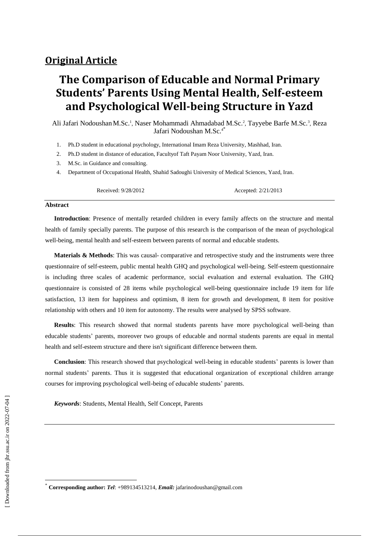# **The Comparison of Educable and Normal Primary Students' Parents Using Mental Health, Self-esteem and Psychological Well-being Structure in Yazd**

Ali Jafari Nodoushan M.Sc.<sup>1</sup>, Naser Mohammadi Ahmadabad M.Sc.<sup>2</sup>, Tayyebe Barfe M.Sc.<sup>3</sup>, Reza Jafari Nodoushan M.Sc.<sup>4</sup>

- 1. Ph.D student in educational psychology, International Imam Reza University, Mashhad, Iran.
- 2. Ph.D student in distance of education, Facultyof Taft Payam Noor University, Yazd, Iran.
- 3. M.Sc. in Guidance and consulting.
- 4. Department of Occupational Health, Shahid Sadoughi University of Medical Sciences, Yazd, Iran.

Received: 9/28/2012 Accepted: 2/21/2013

#### **Abstract**

**Introduction**: Presence of mentally retarded children in every family affects on the structure and mental health of family specially parents. The purpose of this research is the comparison of the mean of psychological well-being, mental health and self-esteem between parents of normal and educable students.

**Materials & Methods**: This was causal- comparative and retrospective study and the instruments were three questionnaire of self-esteem, public mental health GHQ and psychological well-being. Self-esteem questionnaire is including three scales of academic performance, social evaluation and external evaluation. The GHQ questionnaire is consisted of 28 items while psychological well-being questionnaire include 19 item for life satisfaction, 13 item for happiness and optimism, 8 item for growth and development, 8 item for positive relationship with others and 10 item for autonomy. The results were analysed by SPSS software.

**Results**: This research showed that normal students parents have more psychological well-being than educable students' parents, moreover two groups of educable and normal students parents are equal in mental health and self-esteem structure and there isn't significant difference between them.

**Conclusion**: This research showed that psychological well-being in educable students' parents is lower than normal students' parents. Thus it is suggested that educational organization of exceptional children arrange courses for improving psychological well-being of educable students' parents.

*Keywords*: Students, Mental Health, Self Concept, [Parents](http://www.ncbi.nlm.nih.gov/mesh/68010290)

 $\overline{\phantom{a}}$ 

<sup>\*</sup> **Corresponding author:** *Tel*: +989134513214, *Email:* jafarinodoushan@gmail.com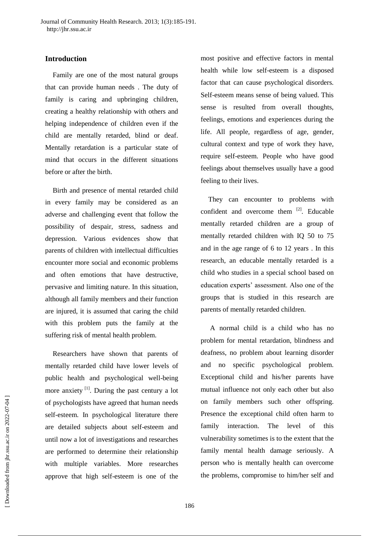# **Introduction**

Family are one of the most natural groups that can provide human needs . The duty of family is caring and upbringing children, creating a healthy relationship with others and helping independence of children even if the child are mentally retarded, blind or deaf. Mentally retardation is a particular state of mind that occurs in the different situations before or after the birth.

Birth and presence of mental retarded child in every family may be considered as an adverse and challenging event that follow the possibility of despair, stress, sadness and depression. Various evidences show that parents of children with intellectual difficulties encounter more social and economic problems and often emotions that have destructive, pervasive and limiting nature. In this situation, although all family members and their function are injured, it is assumed that caring the child with this problem puts the family at the suffering risk of mental health problem.

Researchers have shown that parents of mentally retarded child have lower levels of public health and psychological well-being more anxiety  $\left[1\right]$ . During the past century a lot of psychologists have agreed that human needs self-esteem. In psychological literature there are detailed subjects about self-esteem and until now a lot of investigations and researches are performed to determine their relationship with multiple variables. More researches approve that high self-esteem is one of the

most positive and effective factors in mental health while low self-esteem is a disposed factor that can cause psychological disorders. Self-esteem means sense of being valued. This sense is resulted from overall thoughts, feelings, emotions and experiences during the life. All people, regardless of age, gender, cultural context and type of work they have, require self-esteem. People who have good feelings about themselves usually have a good feeling to their lives.

They can encounter to problems with confident and overcome them [2]. Educable mentally retarded children are a group of mentally retarded children with IQ 50 to 75 and in the age range of 6 to 12 years . In this research, an educable mentally retarded is a child who studies in a special school based on education experts' assessment. Also one of the groups that is studied in this research are parents of mentally retarded children.

A normal child is a child who has no problem for mental retardation, blindness and deafness, no problem about learning disorder and no specific psychological problem. Exceptional child and his/her parents have mutual influence not only each other but also on family members such other offspring. Presence the exceptional child often harm to family interaction. The level of this vulnerability sometimes is to the extent that the family mental health damage seriously. A person who is mentally health can overcome the problems, compromise to him/her self and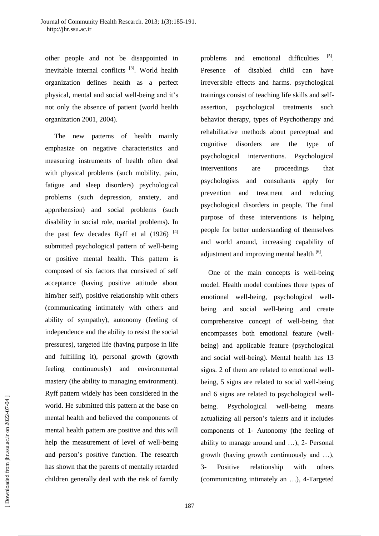other people and not be disappointed in inevitable internal conflicts <sup>[3]</sup>. World health organization defines health as a perfect physical, mental and social well-being and it's not only the absence of patient (world health organization 2001, 2004).

The new patterns of health mainly emphasize on negative characteristics and measuring instruments of health often deal with physical problems (such mobility, pain, fatigue and sleep disorders) psychological problems (such depression, anxiety, and apprehension) and social problems (such disability in social role, marital problems). In the past few decades Ryff et al  $(1926)$ <sup>[4]</sup> submitted psychological pattern of well-being or positive mental health. This pattern is composed of six factors that consisted of self acceptance (having positive attitude about him/her self), positive relationship whit others (communicating intimately with others and ability of sympathy), autonomy (feeling of independence and the ability to resist the social pressures), targeted life (having purpose in life and fulfilling it), personal growth (growth feeling continuously) and environmental mastery (the ability to managing environment). Ryff pattern widely has been considered in the world. He submitted this pattern at the base on mental health and believed the components of mental health pattern are positive and this will help the measurement of level of well-being and person's positive function. The research has shown that the parents of mentally retarded children generally deal with the risk of family problems and emotional difficulties . Presence of disabled child can have irreversible effects and harms. psychological trainings consist of teaching life skills and selfassertion, psychological treatments such behavior therapy, types of Psychotherapy and rehabilitative methods about perceptual and cognitive disorders are the type of psychological interventions. Psychological interventions are proceedings that psychologists and consultants apply for prevention and treatment and reducing psychological disorders in people. The final purpose of these interventions is helping people for better understanding of themselves and world around, increasing capability of adjustment and improving mental health  $[6]$ .

One of the main concepts is well-being model. Health model combines three types of emotional well-being, psychological wellbeing and social well-being and create comprehensive concept of well-being that encompasses both emotional feature (wellbeing) and applicable feature (psychological and social well-being). Mental health has 13 signs. 2 of them are related to emotional wellbeing, 5 signs are related to social well-being and 6 signs are related to psychological wellbeing. Psychological well-being means actualizing all person's talents and it includes components of 1- Autonomy (the feeling of ability to manage around and …), 2- Personal growth (having growth continuously and …), 3- Positive relationship with others (communicating intimately an …), 4-Targeted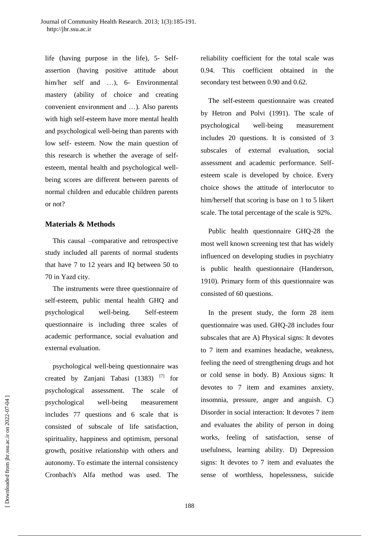life (having purpose in the life), 5- Selfassertion (having positive attitude about him/her self and ...), 6- Environmental mastery (ability of choice and creating convenient environment and …). Also parents with high self-esteem have more mental health and psychological well-being than parents with low self- esteem. Now the main question of this research is whether the average of selfesteem, mental health and psychological wellbeing scores are different between parents of normal children and educable children parents or not?

### **Materials & Methods**

This causal –comparative and retrospective study included all parents of normal students that have 7 to 12 years and IQ between 50 to 70 in Yazd city.

The instruments were three questionnaire of self-esteem, public mental health GHQ and psychological well-being. Self-esteem questionnaire is including three scales of academic performance, social evaluation and external evaluation.

psychological well-being questionnaire was created by Zanjani Tabasi (1383) [7] for psychological assessment. The scale of psychological well-being measurement includes 77 questions and 6 scale that is consisted of subscale of life satisfaction, spirituality, happiness and optimism, personal growth, positive relationship with others and autonomy. To estimate the internal consistency Cronbach's Alfa method was used. The

reliability coefficient for the total scale was 0.94. This coefficient obtained in the secondary test between 0.90 and 0.62.

The self-esteem questionnaire was created by Hetron and Polvi (1991). The scale of psychological well-being measurement includes 20 questions. It is consisted of 3 subscales of external evaluation, social assessment and academic performance. Selfesteem scale is developed by choice. Every choice shows the attitude of interlocutor to him/herself that scoring is base on 1 to 5 likert scale. The total percentage of the scale is 92%.

Public health questionnaire GHQ-28 the most well known screening test that has widely influenced on developing studies in psychiatry is public health questionnaire (Handerson, 1910). Primary form of this questionnaire was consisted of 60 questions.

In the present study, the form 28 item questionnaire was used. GHQ-28 includes four subscales that are A) Physical signs: It devotes to 7 item and examines headache, weakness, feeling the need of strengthening drugs and hot or cold sense in body. B) Anxious signs: It devotes to 7 item and examines anxiety, insomnia, pressure, anger and anguish. C) Disorder in social interaction: It devotes 7 item and evaluates the ability of person in doing works, feeling of satisfaction, sense of usefulness, learning ability. D) Depression signs: It devotes to 7 item and evaluates the sense of worthless, hopelessness, suicide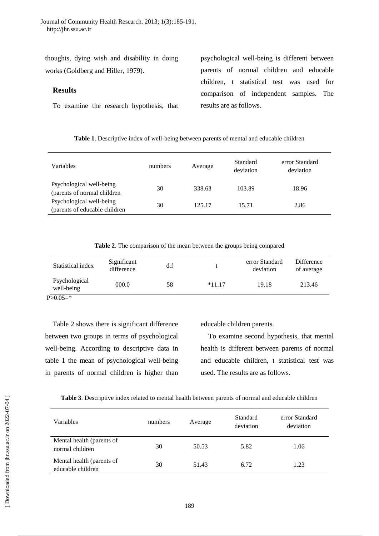thoughts, dying wish and disability in doing works (Goldberg and Hiller, 1979).

# **Results**

To examine the research hypothesis, that

psychological well-being is different between parents of normal children and educable children, t statistical test was used for comparison of independent samples. The results are as follows.

|  |  |  |  | Table 1. Descriptive index of well-being between parents of mental and educable children |  |  |
|--|--|--|--|------------------------------------------------------------------------------------------|--|--|
|  |  |  |  |                                                                                          |  |  |

| Variables                                                  | numbers | Average | Standard<br>deviation | error Standard<br>deviation |
|------------------------------------------------------------|---------|---------|-----------------------|-----------------------------|
| Psychological well-being<br>(parents of normal children    | 30      | 338.63  | 103.89                | 18.96                       |
| Psychological well-being<br>(parents of educable children) | 30      | 125.17  | 15.71                 | 2.86                        |

**Table 2**. The comparison of the mean between the groups being compared

|                        | Difference<br>of average | error Standard<br>deviation | d.f | Significant<br>difference | Statistical index |
|------------------------|--------------------------|-----------------------------|-----|---------------------------|-------------------|
| $*11.17$<br>well-being | 213.46                   | 19.18                       | 58  | 000.0                     | Psychological     |

 $P > 0.05 =$ \*

Table 2 shows there is significant difference between two groups in terms of psychological well-being. According to descriptive data in table 1 the mean of psychological well-being in parents of normal children is higher than

educable children parents.

To examine second hypothesis, that mental health is different between parents of normal and educable children, t statistical test was used. The results are as follows.

| Variables                                      | numbers | Average | Standard<br>deviation | error Standard<br>deviation |
|------------------------------------------------|---------|---------|-----------------------|-----------------------------|
| Mental health (parents of<br>normal children   | 30      | 50.53   | 5.82                  | 1.06                        |
| Mental health (parents of<br>educable children | 30      | 51.43   | 6.72                  | 1.23                        |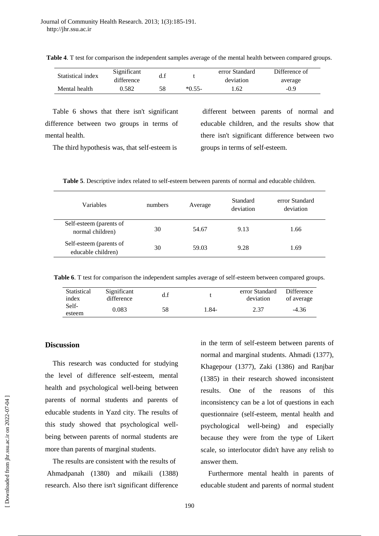| Statistical index | Significant |     |          | error Standard | Difference of |
|-------------------|-------------|-----|----------|----------------|---------------|
|                   | difference  | u.i |          | deviation      | average       |
| Mental health     | 0.582       | 58  | $*0.55-$ | 1.62           | -0.9          |

**Table 4**. T test for comparison the independent samples average of the mental health between compared groups.

Table 6 shows that there isn't significant difference between two groups in terms of mental health.

The third hypothesis was, that self-esteem is

different between parents of normal and educable children, and the results show that there isn't significant difference between two groups in terms of self-esteem.

**Table 5**. Descriptive index related to self-esteem between parents of normal and educable children.

| Variables                                     | numbers | Average | Standard<br>deviation | error Standard<br>deviation |
|-----------------------------------------------|---------|---------|-----------------------|-----------------------------|
| Self-esteem (parents of<br>normal children)   | 30      | 54.67   | 9.13                  | 1.66                        |
| Self-esteem (parents of<br>educable children) | 30      | 59.03   | 9.28                  | 1.69                        |
|                                               |         |         |                       |                             |

**Table 6**. T test for comparison the independent samples average of self-esteem between compared groups.

| Statistical<br>index | Significant<br>difference | d.f |        | error Standard<br>deviation | Difference<br>of average |
|----------------------|---------------------------|-----|--------|-----------------------------|--------------------------|
| Self-<br>esteem      | 0.083                     | 58  | $.84-$ | 2.37                        | $-4.36$                  |

#### **Discussion**

This research was conducted for studying the level of difference self-esteem, mental health and psychological well-being between parents of normal students and parents of educable students in Yazd city. The results of this study showed that psychological wellbeing between parents of normal students are more than parents of marginal students.

The results are consistent with the results of Ahmadpanah (1380) and mikaili (1388) research. Also there isn't significant difference in the term of self-esteem between parents of normal and marginal students. Ahmadi (1377), Khagepour (1377), Zaki (1386) and Ranjbar (1385) in their research showed inconsistent results. One of the reasons of this inconsistency can be a lot of questions in each questionnaire (self-esteem, mental health and psychological well-being) and especially because they were from the type of Likert scale, so interlocutor didn't have any relish to answer them.

Furthermore mental health in parents of educable student and parents of normal student